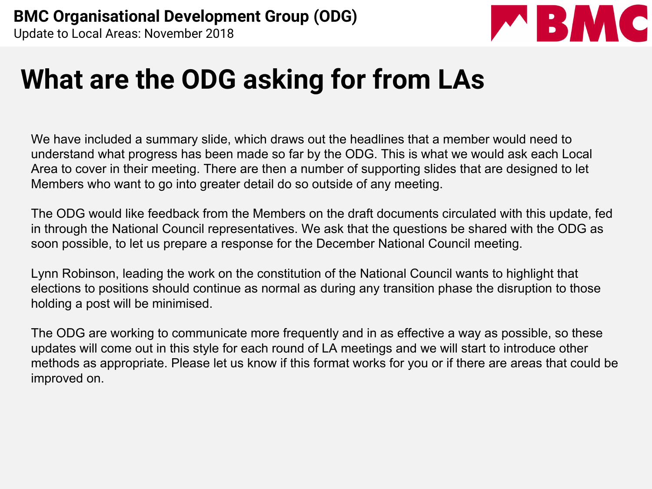

#### **What are the ODG asking for from LAs**

We have included a summary slide, which draws out the headlines that a member would need to understand what progress has been made so far by the ODG. This is what we would ask each Local Area to cover in their meeting. There are then a number of supporting slides that are designed to let Members who want to go into greater detail do so outside of any meeting.

The ODG would like feedback from the Members on the draft documents circulated with this update, fed in through the National Council representatives. We ask that the questions be shared with the ODG as soon possible, to let us prepare a response for the December National Council meeting.

Lynn Robinson, leading the work on the constitution of the National Council wants to highlight that elections to positions should continue as normal as during any transition phase the disruption to those holding a post will be minimised.

The ODG are working to communicate more frequently and in as effective a way as possible, so these updates will come out in this style for each round of LA meetings and we will start to introduce other methods as appropriate. Please let us know if this format works for you or if there are areas that could be improved on.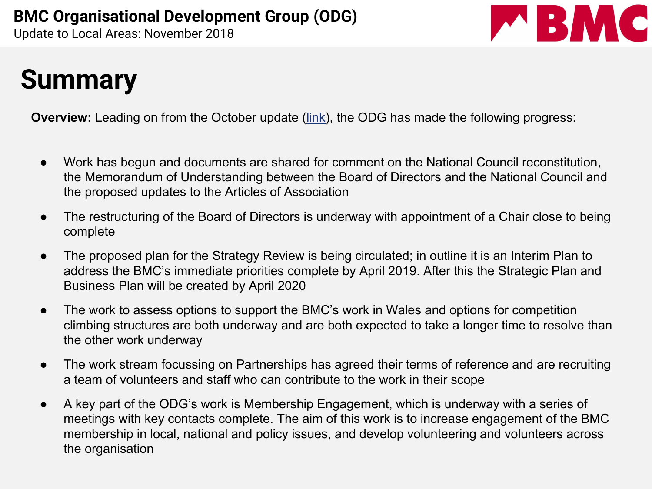

#### **Summary**

**Overview:** Leading on from the October update [\(link](https://www.thebmc.co.uk/bmc-organisational-development-group-update-october)), the ODG has made the following progress:

- Work has begun and documents are shared for comment on the National Council reconstitution, the Memorandum of Understanding between the Board of Directors and the National Council and the proposed updates to the Articles of Association
- The restructuring of the Board of Directors is underway with appointment of a Chair close to being complete
- The proposed plan for the Strategy Review is being circulated; in outline it is an Interim Plan to address the BMC's immediate priorities complete by April 2019. After this the Strategic Plan and Business Plan will be created by April 2020
- The work to assess options to support the BMC's work in Wales and options for competition climbing structures are both underway and are both expected to take a longer time to resolve than the other work underway
- The work stream focussing on Partnerships has agreed their terms of reference and are recruiting a team of volunteers and staff who can contribute to the work in their scope
- A key part of the ODG's work is Membership Engagement, which is underway with a series of meetings with key contacts complete. The aim of this work is to increase engagement of the BMC membership in local, national and policy issues, and develop volunteering and volunteers across the organisation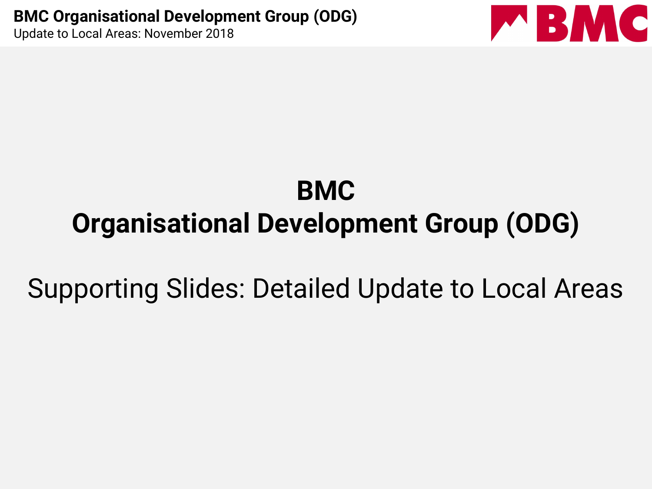

### **BMC Organisational Development Group (ODG)**

Supporting Slides: Detailed Update to Local Areas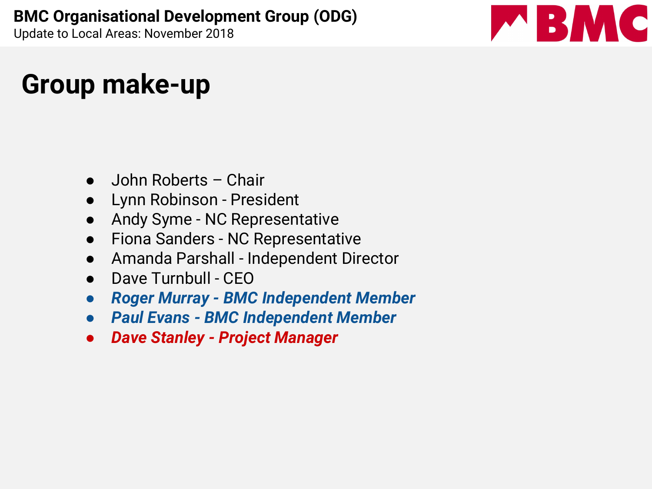# BMC

#### **Group make-up**

- John Roberts Chair
- Lynn Robinson President
- Andy Syme NC Representative
- Fiona Sanders NC Representative
- Amanda Parshall Independent Director
- Dave Turnbull CEO
- *● Roger Murray BMC Independent Member*
- *● Paul Evans BMC Independent Member*
- *● Dave Stanley Project Manager*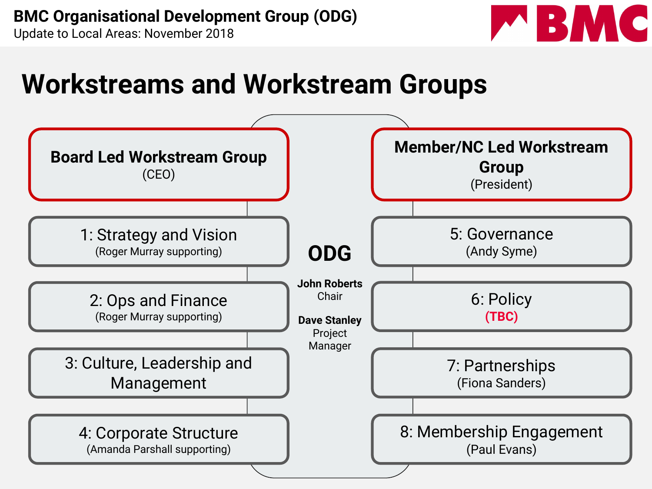

#### **Workstreams and Workstream Groups**

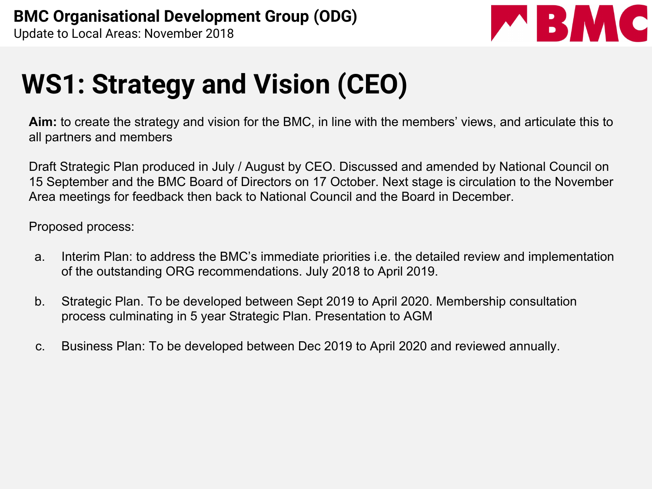

### **WS1: Strategy and Vision (CEO)**

**Aim:** to create the strategy and vision for the BMC, in line with the members' views, and articulate this to all partners and members

Draft Strategic Plan produced in July / August by CEO. Discussed and amended by National Council on 15 September and the BMC Board of Directors on 17 October. Next stage is circulation to the November Area meetings for feedback then back to National Council and the Board in December.

Proposed process:

- a. Interim Plan: to address the BMC's immediate priorities i.e. the detailed review and implementation of the outstanding ORG recommendations. July 2018 to April 2019.
- b. Strategic Plan. To be developed between Sept 2019 to April 2020. Membership consultation process culminating in 5 year Strategic Plan. Presentation to AGM
- c. Business Plan: To be developed between Dec 2019 to April 2020 and reviewed annually.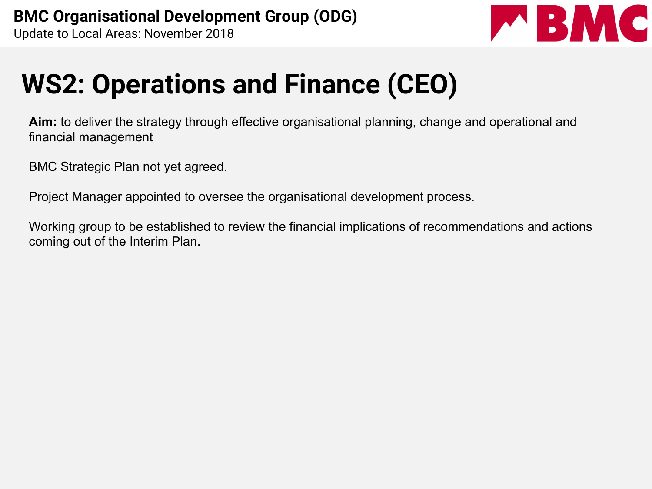

## **WS2: Operations and Finance (CEO)**

**Aim:** to deliver the strategy through effective organisational planning, change and operational and financial management

BMC Strategic Plan not yet agreed.

Project Manager appointed to oversee the organisational development process.

Working group to be established to review the financial implications of recommendations and actions coming out of the Interim Plan.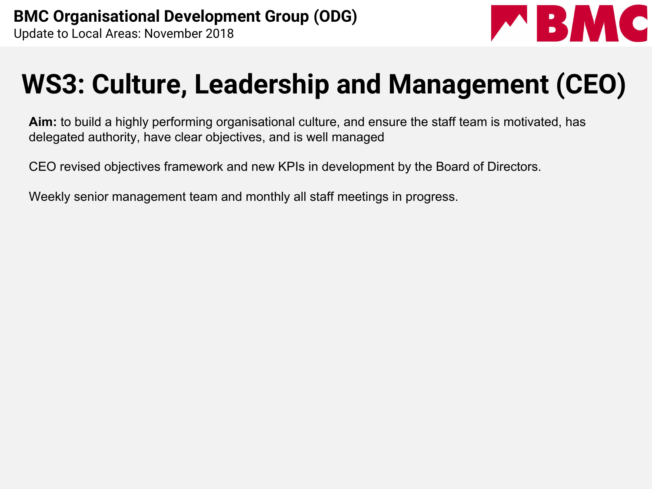

#### **WS3: Culture, Leadership and Management (CEO)**

**Aim:** to build a highly performing organisational culture, and ensure the staff team is motivated, has delegated authority, have clear objectives, and is well managed

CEO revised objectives framework and new KPIs in development by the Board of Directors.

Weekly senior management team and monthly all staff meetings in progress.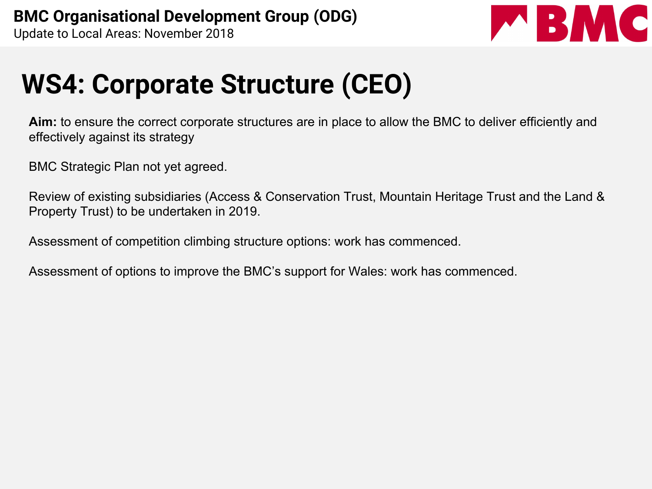

#### **WS4: Corporate Structure (CEO)**

**Aim:** to ensure the correct corporate structures are in place to allow the BMC to deliver efficiently and effectively against its strategy

BMC Strategic Plan not yet agreed.

Review of existing subsidiaries (Access & Conservation Trust, Mountain Heritage Trust and the Land & Property Trust) to be undertaken in 2019.

Assessment of competition climbing structure options: work has commenced.

Assessment of options to improve the BMC's support for Wales: work has commenced.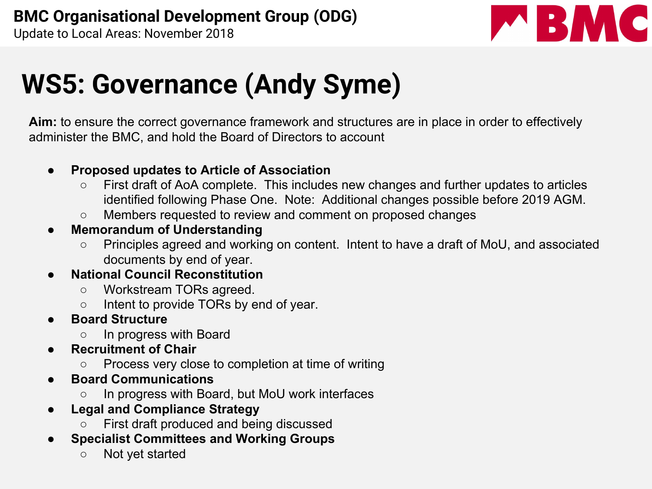

### **WS5: Governance (Andy Syme)**

**Aim:** to ensure the correct governance framework and structures are in place in order to effectively administer the BMC, and hold the Board of Directors to account

- **Proposed updates to Article of Association**
	- First draft of AoA complete. This includes new changes and further updates to articles identified following Phase One. Note: Additional changes possible before 2019 AGM.
	- Members requested to review and comment on proposed changes
- **Memorandum of Understanding** 
	- Principles agreed and working on content. Intent to have a draft of MoU, and associated documents by end of year.
- **● National Council Reconstitution**
	- Workstream TORs agreed.
	- Intent to provide TORs by end of year.
- **● Board Structure** 
	- **○** In progress with Board
- **Recruitment of Chair** 
	- Process very close to completion at time of writing
- **● Board Communications** 
	- **○** In progress with Board, but MoU work interfaces
- **Legal and Compliance Strategy** 
	- First draft produced and being discussed
- **Specialist Committees and Working Groups** 
	- Not yet started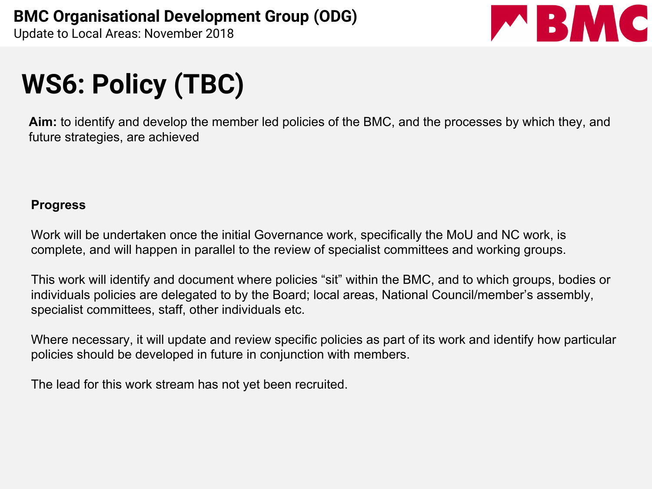

# **WS6: Policy (TBC)**

**Aim:** to identify and develop the member led policies of the BMC, and the processes by which they, and future strategies, are achieved

#### **Progress**

Work will be undertaken once the initial Governance work, specifically the MoU and NC work, is complete, and will happen in parallel to the review of specialist committees and working groups.

This work will identify and document where policies "sit" within the BMC, and to which groups, bodies or individuals policies are delegated to by the Board; local areas, National Council/member's assembly, specialist committees, staff, other individuals etc.

Where necessary, it will update and review specific policies as part of its work and identify how particular policies should be developed in future in conjunction with members.

The lead for this work stream has not yet been recruited.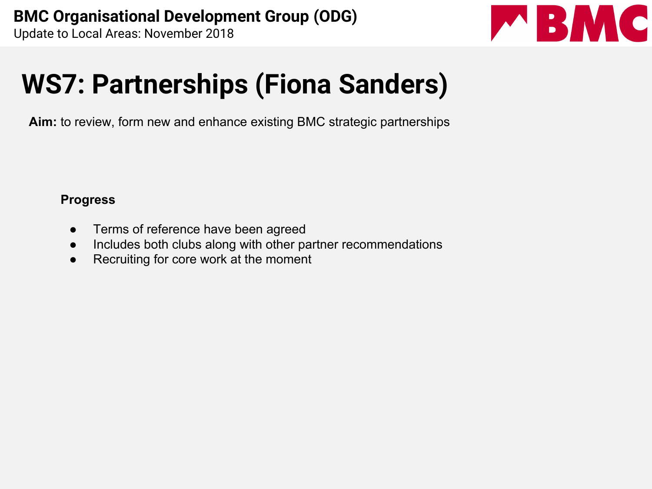

## **WS7: Partnerships (Fiona Sanders)**

**Aim:** to review, form new and enhance existing BMC strategic partnerships

#### **Progress**

- Terms of reference have been agreed
- Includes both clubs along with other partner recommendations
- Recruiting for core work at the moment